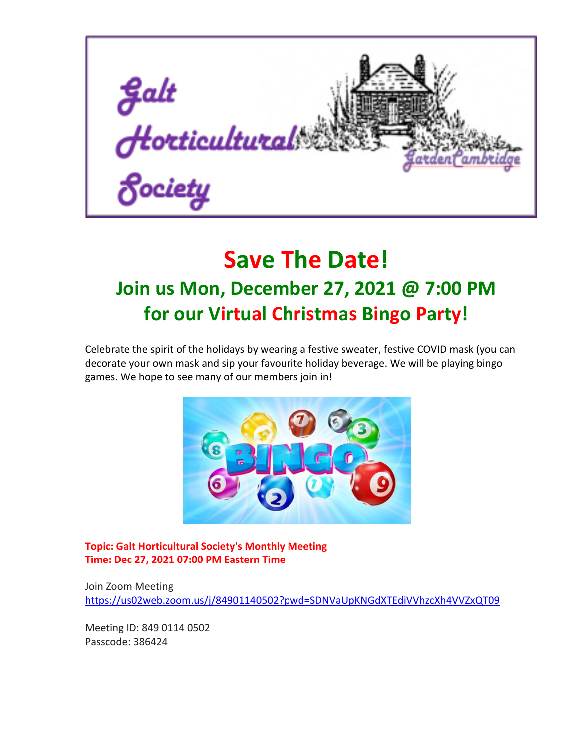

## **Save The Date! Join us Mon, December 27, 2021 @ 7:00 PM for our Virtual Christmas Bingo Party!**

Celebrate the spirit of the holidays by wearing a festive sweater, festive COVID mask (you can decorate your own mask and sip your favourite holiday beverage. We will be playing bingo games. We hope to see many of our members join in!



**Topic: Galt Horticultural Society's Monthly Meeting Time: Dec 27, 2021 07:00 PM Eastern Time** 

Join Zoom Meeting <https://us02web.zoom.us/j/84901140502?pwd=SDNVaUpKNGdXTEdiVVhzcXh4VVZxQT09>

Meeting ID: 849 0114 0502 Passcode: 386424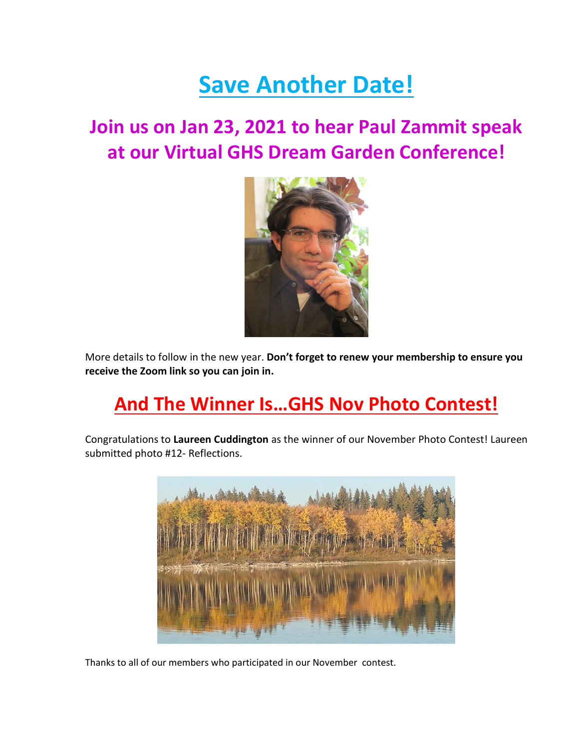## **Save Another Date!**

### **Join us on Jan 23, 2021 to hear Paul Zammit speak at our Virtual GHS Dream Garden Conference!**



More details to follow in the new year. **Don't forget to renew your membership to ensure you receive the Zoom link so you can join in.**

### **And The Winner Is…GHS Nov Photo Contest!**

Congratulations to **Laureen Cuddington** as the winner of our November Photo Contest! Laureen submitted photo #12- Reflections.



Thanks to all of our members who participated in our November contest.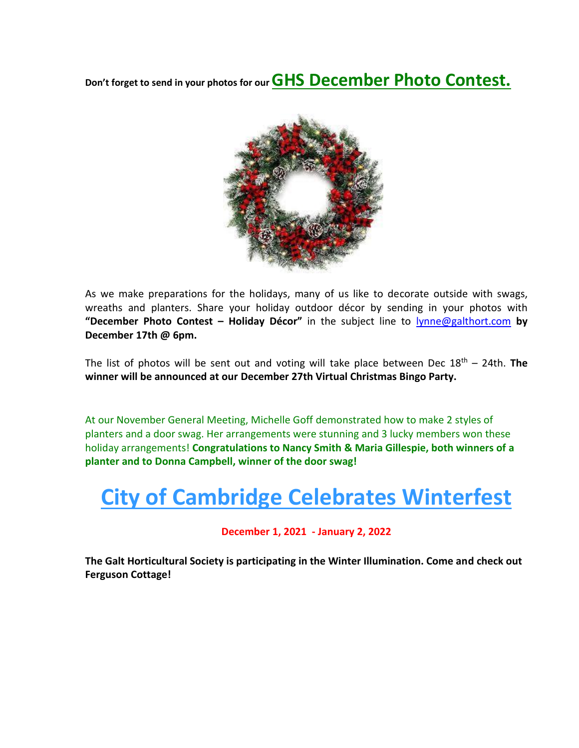**Don't forget to send in your photos for our GHS December Photo Contest.**



As we make preparations for the holidays, many of us like to decorate outside with swags, wreaths and planters. Share your holiday outdoor décor by sending in your photos with **"December Photo Contest – Holiday Décor"** in the subject line to [lynne@galthort.com](mailto:lynne@galthort.com) **by December 17th @ 6pm.** 

The list of photos will be sent out and voting will take place between Dec 18<sup>th</sup> – 24th. **The winner will be announced at our December 27th Virtual Christmas Bingo Party.** 

At our November General Meeting, Michelle Goff demonstrated how to make 2 styles of planters and a door swag. Her arrangements were stunning and 3 lucky members won these holiday arrangements! **Congratulations to Nancy Smith & Maria Gillespie, both winners of a planter and to Donna Campbell, winner of the door swag!**

## **City of Cambridge Celebrates Winterfest**

### **December 1, 2021 - January 2, 2022**

**The Galt Horticultural Society is participating in the Winter Illumination. Come and check out Ferguson Cottage!**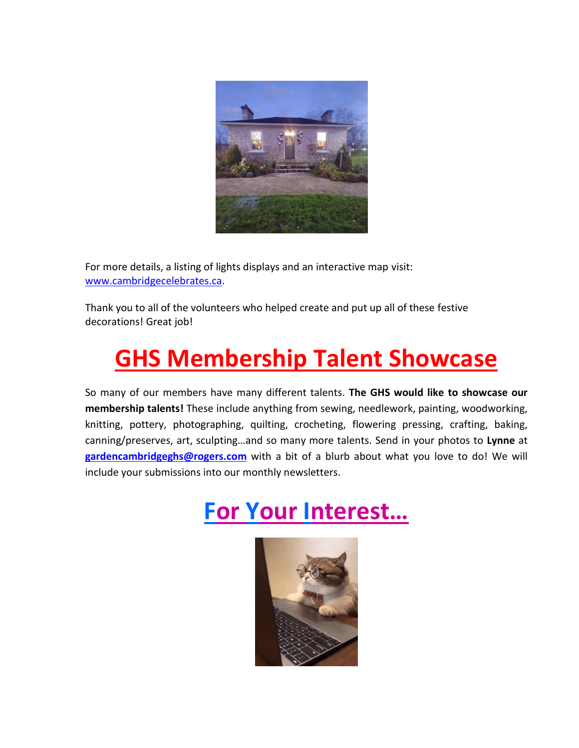

For more details, a listing of lights displays and an interactive map visit: [www.cambridgecelebrates.ca.](http://www.cambridgecelebrates.ca/)

Thank you to all of the volunteers who helped create and put up all of these festive decorations! Great job!

# **GHS Membership Talent Showcase**

So many of our members have many different talents. **The GHS would like to showcase our membership talents!** These include anything from sewing, needlework, painting, woodworking, knitting, pottery, photographing, quilting, crocheting, flowering pressing, crafting, baking, canning/preserves, art, sculpting…and so many more talents. Send in your photos to **Lynne** at **[gardencambridgeghs@rogers.com](mailto:gardencambridgeghs@rogers.com)** with a bit of a blurb about what you love to do! We will include your submissions into our monthly newsletters.

# **For Your Interest…**

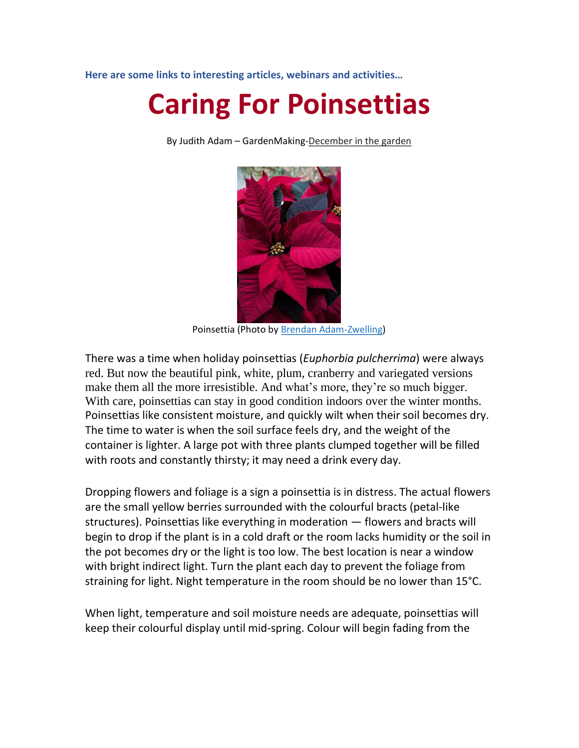**Here are some links to interesting articles, webinars and activities…**

# **Caring For Poinsettias**

By Judith Adam – GardenMaking-December in the garden



Poinsettia (Photo by Brendan Adam-Zwelling)

There was a time when holiday poinsettias (*Euphorbia pulcherrima*) were always red. But now the beautiful pink, white, plum, cranberry and variegated versions make them all the more irresistible. And what's more, they're so much bigger. With care, poinsettias can stay in good condition indoors over the winter months. Poinsettias like consistent moisture, and quickly wilt when their soil becomes dry. The time to water is when the soil surface feels dry, and the weight of the container is lighter. A large pot with three plants clumped together will be filled with roots and constantly thirsty; it may need a drink every day.

Dropping flowers and foliage is a sign a poinsettia is in distress. The actual flowers are the small yellow berries surrounded with the colourful bracts (petal-like structures). Poinsettias like everything in moderation — flowers and bracts will begin to drop if the plant is in a cold draft or the room lacks humidity or the soil in the pot becomes dry or the light is too low. The best location is near a window with bright indirect light. Turn the plant each day to prevent the foliage from straining for light. Night temperature in the room should be no lower than 15°C.

When light, temperature and soil moisture needs are adequate, poinsettias will keep their colourful display until mid-spring. Colour will begin fading from the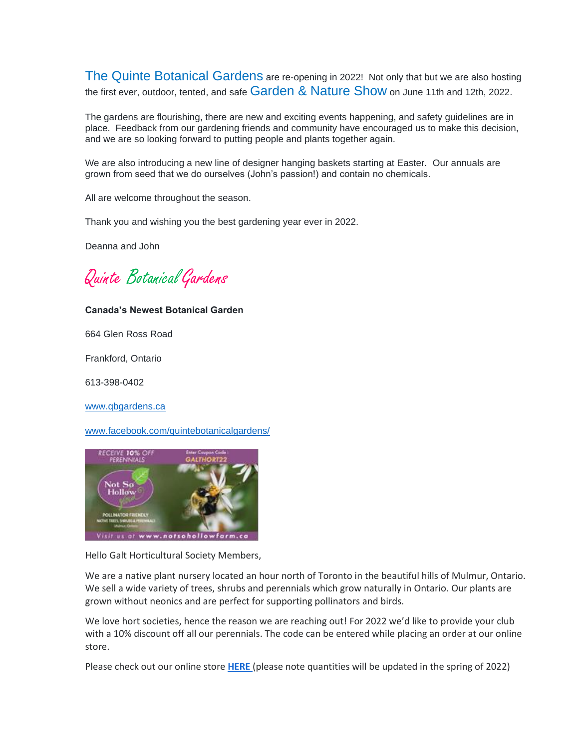The Quinte Botanical Gardens are re-opening in 2022! Not only that but we are also hosting the first ever, outdoor, tented, and safe Garden & Nature Show on June 11th and 12th. 2022.

The gardens are flourishing, there are new and exciting events happening, and safety guidelines are in place. Feedback from our gardening friends and community have encouraged us to make this decision, and we are so looking forward to putting people and plants together again.

We are also introducing a new line of designer hanging baskets starting at Easter. Our annuals are grown from seed that we do ourselves (John's passion!) and contain no chemicals.

All are welcome throughout the season.

Thank you and wishing you the best gardening year ever in 2022.

Deanna and John

Quinte BotanicalGardens

#### **Canada's Newest Botanical Garden**

664 Glen Ross Road

Frankford, Ontario

613-398-0402

[www.qbgardens.ca](http://www.qbgardens.ca/)

[www.facebook.com/quintebotanicalgardens/](http://www.facebook.com/quintebotanicalgardens/)



Hello Galt Horticultural Society Members,

We are a native plant nursery located an hour north of Toronto in the beautiful hills of Mulmur, Ontario. We sell a wide variety of trees, shrubs and perennials which grow naturally in Ontario. Our plants are grown without neonics and are perfect for supporting pollinators and birds.

We love hort societies, hence the reason we are reaching out! For 2022 we'd like to provide your club with a 10% discount off all our perennials. The code can be entered while placing an order at our online store.

Please check out our online store **[HERE](https://notsohollowfarm.ca/store/)** (please note quantities will be updated in the spring of 2022)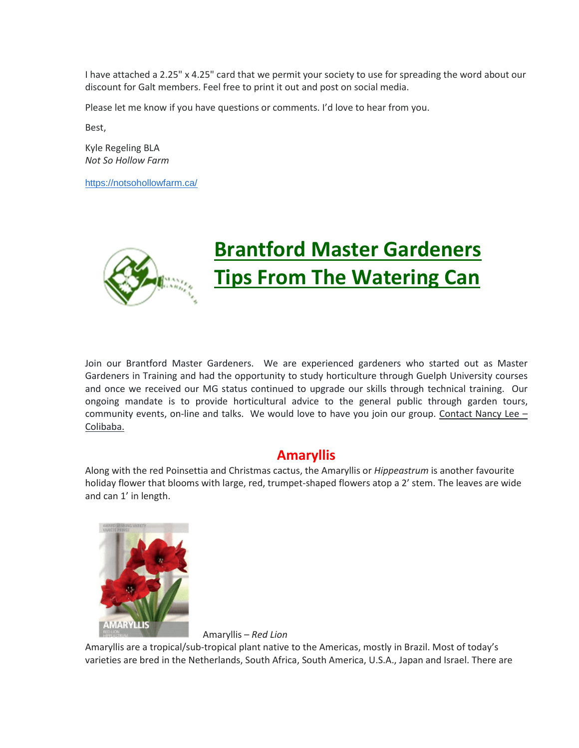I have attached a 2.25" x 4.25" card that we permit your society to use for spreading the word about our discount for Galt members. Feel free to print it out and post on social media.

Please let me know if you have questions or comments. I'd love to hear from you.

Best,

Kyle Regeling BLA *Not So Hollow Farm*

<https://notsohollowfarm.ca/>



## **Brantford Master Gardeners Tips From The Watering Can**

Join our Brantford Master Gardeners. We are experienced gardeners who started out as Master Gardeners in Training and had the opportunity to study horticulture through Guelph University courses and once we received our MG status continued to upgrade our skills through technical training. Our ongoing mandate is to provide horticultural advice to the general public through garden tours, community events, on-line and talks. We would love to have you join our group. Contact Nancy Lee – Colibaba.

### **Amaryllis**

Along with the red Poinsettia and Christmas cactus, the Amaryllis or *Hippeastrum* is another favourite holiday flower that blooms with large, red, trumpet-shaped flowers atop a 2' stem. The leaves are wide and can 1' in length.



Amaryllis – *Red Lion*

Amaryllis are a tropical/sub-tropical plant native to the Americas, mostly in Brazil. Most of today's varieties are bred in the Netherlands, South Africa, South America, U.S.A., Japan and Israel. There are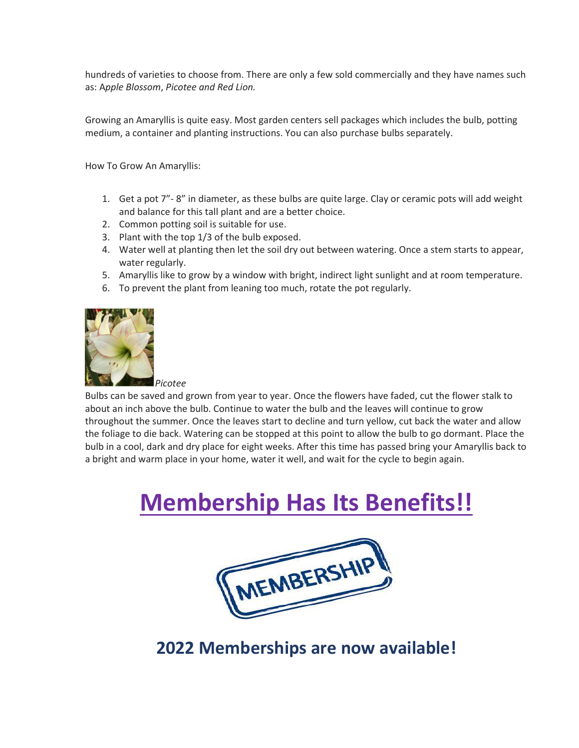hundreds of varieties to choose from. There are only a few sold commercially and they have names such as: A*pple Blossom*, *Picotee and Red Lion.* 

Growing an Amaryllis is quite easy. Most garden centers sell packages which includes the bulb, potting medium, a container and planting instructions. You can also purchase bulbs separately.

How To Grow An Amaryllis:

- 1. Get a pot 7"- 8" in diameter, as these bulbs are quite large. Clay or ceramic pots will add weight and balance for this tall plant and are a better choice.
- 2. Common potting soil is suitable for use.
- 3. Plant with the top 1/3 of the bulb exposed.
- 4. Water well at planting then let the soil dry out between watering. Once a stem starts to appear, water regularly.
- 5. Amaryllis like to grow by a window with bright, indirect light sunlight and at room temperature.
- 6. To prevent the plant from leaning too much, rotate the pot regularly.



*Picotee*

Bulbs can be saved and grown from year to year. Once the flowers have faded, cut the flower stalk to about an inch above the bulb. Continue to water the bulb and the leaves will continue to grow throughout the summer. Once the leaves start to decline and turn yellow, cut back the water and allow the foliage to die back. Watering can be stopped at this point to allow the bulb to go dormant. Place the bulb in a cool, dark and dry place for eight weeks. After this time has passed bring your Amaryllis back to a bright and warm place in your home, water it well, and wait for the cycle to begin again.

# **Membership Has Its Benefits!!**



### **2022 Memberships are now available!**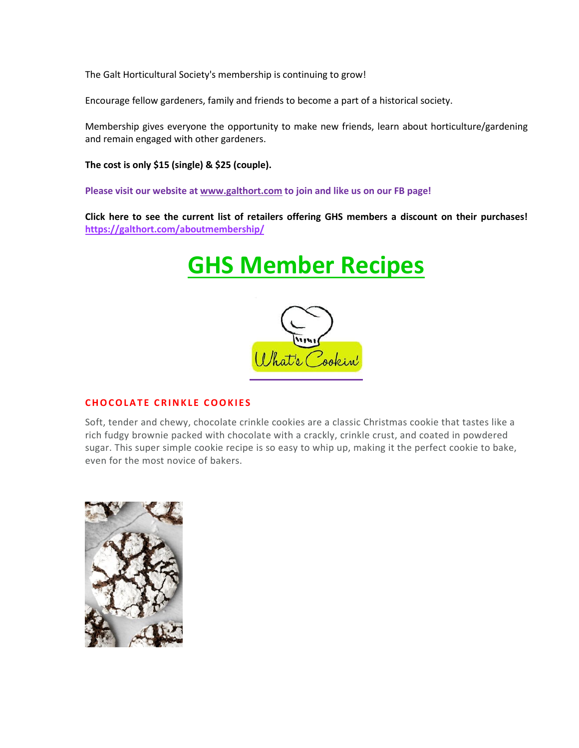The Galt Horticultural Society's membership is continuing to grow!

Encourage fellow gardeners, family and friends to become a part of a historical society.

Membership gives everyone the opportunity to make new friends, learn about horticulture/gardening and remain engaged with other gardeners.

**The cost is only \$15 (single) & \$25 (couple).** 

**Please visit our website a[t www.galthort.com](http://www.galthort.com/) to join and like us on our FB page!**

**Click here to see the current list of retailers offering GHS members a discount on their purchases! <https://galthort.com/aboutmembership/>**

## **GHS Member Recipes**



### **CHOCOLATE CRINKLE COOKIES**

Soft, tender and chewy, chocolate crinkle cookies are a classic Christmas cookie that tastes like a rich fudgy brownie packed with chocolate with a crackly, crinkle crust, and coated in powdered sugar. This super simple cookie recipe is so easy to whip up, making it the perfect cookie to bake, even for the most novice of bakers.

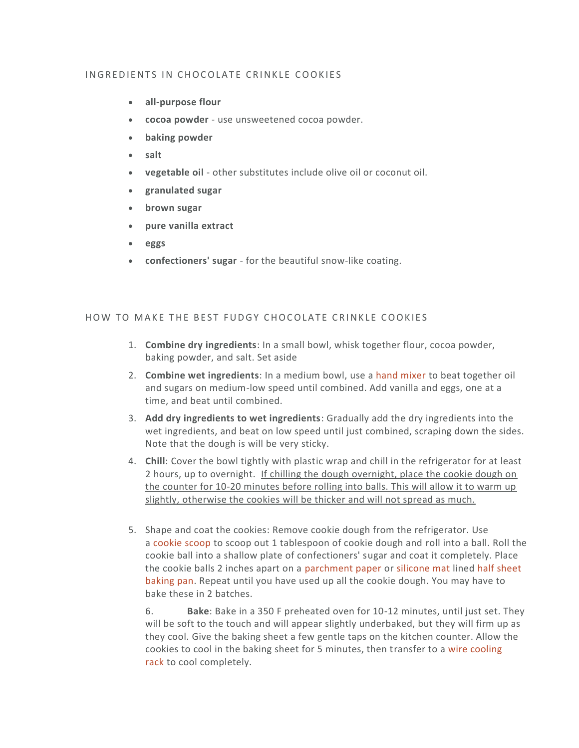#### IN GREDIENTS IN CHOCOLATE CRINKLE COOKIES

- **all-purpose flour**
- **cocoa powder** use unsweetened cocoa powder.
- **baking powder**
- **salt**
- **vegetable oil** other substitutes include olive oil or coconut oil.
- **granulated sugar**
- **brown sugar**
- **pure vanilla extract**
- **eggs**
- **confectioners' sugar** for the beautiful snow-like coating.

#### HOW TO MAKE THE BEST FUDGY CHOCOLATE CRINKLE COOKIES

- 1. **Combine dry ingredients**: In a small bowl, whisk together flour, cocoa powder, baking powder, and salt. Set aside
- 2. **Combine wet ingredients**: In a medium bowl, use a [hand mixer](https://amzn.to/2OQhEGj) to beat together oil and sugars on medium-low speed until combined. Add vanilla and eggs, one at a time, and beat until combined.
- 3. **Add dry ingredients to wet ingredients**: Gradually add the dry ingredients into the wet ingredients, and beat on low speed until just combined, scraping down the sides. Note that the dough is will be very sticky.
- 4. **Chill**: Cover the bowl tightly with plastic wrap and chill in the refrigerator for at least 2 hours, up to overnight. If chilling the dough overnight, place the cookie dough on the counter for 10-20 minutes before rolling into balls. This will allow it to warm up slightly, otherwise the cookies will be thicker and will not spread as much.
- 5. Shape and coat the cookies: Remove cookie dough from the refrigerator. Use a [cookie scoop](https://amzn.to/2CZ8sg7) to scoop out 1 tablespoon of cookie dough and roll into a ball. Roll the cookie ball into a shallow plate of confectioners' sugar and coat it completely. Place the cookie balls 2 inches apart on a [parchment paper](https://amzn.to/2VO6q9o) or [silicone mat](https://amzn.to/38sUQpb) lined [half sheet](https://amzn.to/31KNXht)  [baking pan.](https://amzn.to/31KNXht) Repeat until you have used up all the cookie dough. You may have to bake these in 2 batches.

6. **Bake**: Bake in a 350 F preheated oven for 10-12 minutes, until just set. They will be soft to the touch and will appear slightly underbaked, but they will firm up as they cool. Give the baking sheet a few gentle taps on the kitchen counter. Allow the cookies to cool in the baking sheet for 5 minutes, then transfer to a [wire cooling](https://amzn.to/3eSU5HC)  [rack](https://amzn.to/3eSU5HC) to cool completely.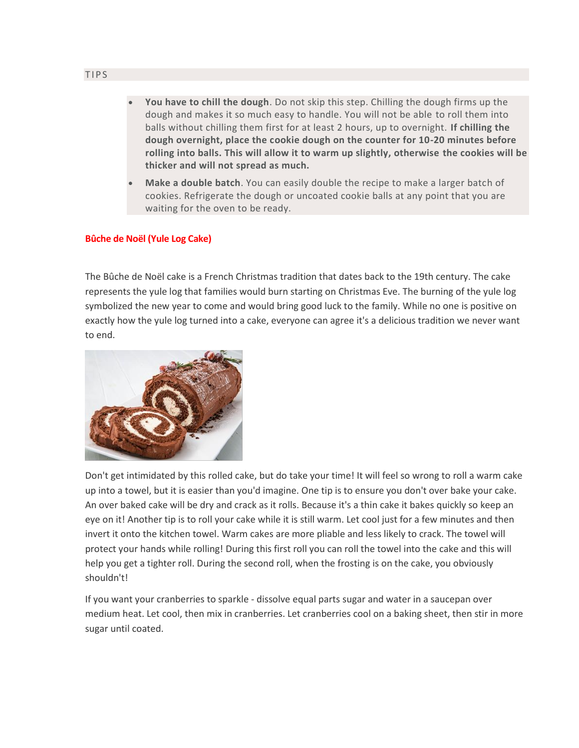- **You have to chill the dough**. Do not skip this step. Chilling the dough firms up the dough and makes it so much easy to handle. You will not be able to roll them into balls without chilling them first for at least 2 hours, up to overnight. **If chilling the dough overnight, place the cookie dough on the counter for 10-20 minutes before rolling into balls. This will allow it to warm up slightly, otherwise the cookies will be thicker and will not spread as much.**
- **Make a double batch**. You can easily double the recipe to make a larger batch of cookies. Refrigerate the dough or uncoated cookie balls at any point that you are waiting for the oven to be ready.

#### **Bûche de Noël (Yule Log Cake)**

The Bûche de Noël cake is a French Christmas tradition that dates back to the 19th century. The cake represents the yule log that families would burn starting on Christmas Eve. The burning of the yule log symbolized the new year to come and would bring good luck to the family. While no one is positive on exactly how the yule log turned into a cake, everyone can agree it's a delicious tradition we never want to end.



Don't get intimidated by this rolled cake, but do take your time! It will feel so wrong to roll a warm cake up into a towel, but it is easier than you'd imagine. One tip is to ensure you don't over bake your cake. An over baked cake will be dry and crack as it rolls. Because it's a thin cake it bakes quickly so keep an eye on it! Another tip is to roll your cake while it is still warm. Let cool just for a few minutes and then invert it onto the kitchen towel. Warm cakes are more pliable and less likely to crack. The towel will protect your hands while rolling! During this first roll you can roll the towel into the cake and this will help you get a tighter roll. During the second roll, when the frosting is on the cake, you obviously shouldn't!

If you want your cranberries to sparkle - dissolve equal parts sugar and water in a saucepan over medium heat. Let cool, then mix in cranberries. Let cranberries cool on a baking sheet, then stir in more sugar until coated.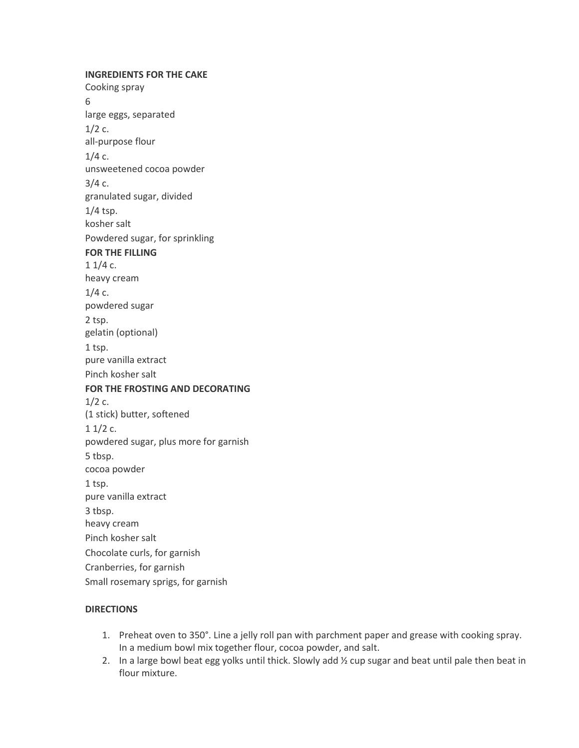**INGREDIENTS FOR THE CAKE** Cooking spray 6 large eggs, separated  $1/2$  c. all-purpose flour  $1/4$  c. unsweetened cocoa powder  $3/4c$ . granulated sugar, divided 1/4 tsp. kosher salt Powdered sugar, for sprinkling **FOR THE FILLING**  $11/4c$ . heavy cream  $1/4c$ . powdered sugar 2 tsp. gelatin (optional) 1 tsp. pure vanilla extract Pinch kosher salt **FOR THE FROSTING AND DECORATING**  $1/2$  c. (1 stick) butter, softened  $11/2c$ . powdered sugar, plus more for garnish 5 tbsp. cocoa powder 1 tsp. pure vanilla extract 3 tbsp. heavy cream Pinch kosher salt Chocolate curls, for garnish Cranberries, for garnish Small rosemary sprigs, for garnish

#### **DIRECTIONS**

- 1. Preheat oven to 350°. Line a jelly roll pan with parchment paper and grease with cooking spray. In a medium bowl mix together flour, cocoa powder, and salt.
- 2. In a large bowl beat egg yolks until thick. Slowly add ½ cup sugar and beat until pale then beat in flour mixture.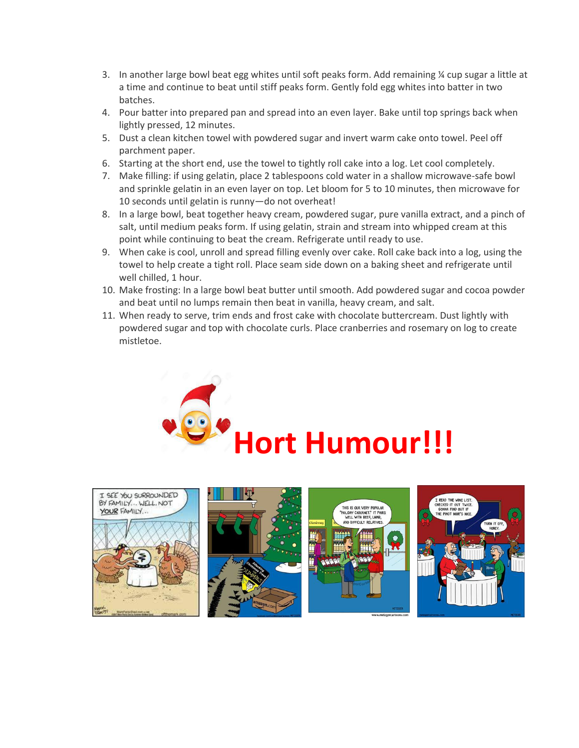- 3. In another large bowl beat egg whites until soft peaks form. Add remaining  $\frac{1}{2}$  cup sugar a little at a time and continue to beat until stiff peaks form. Gently fold egg whites into batter in two batches.
- 4. Pour batter into prepared pan and spread into an even layer. Bake until top springs back when lightly pressed, 12 minutes.
- 5. Dust a clean kitchen towel with powdered sugar and invert warm cake onto towel. Peel off parchment paper.
- 6. Starting at the short end, use the towel to tightly roll cake into a log. Let cool completely.
- 7. Make filling: if using gelatin, place 2 tablespoons cold water in a shallow microwave-safe bowl and sprinkle gelatin in an even layer on top. Let bloom for 5 to 10 minutes, then microwave for 10 seconds until gelatin is runny—do not overheat!
- 8. In a large bowl, beat together heavy cream, powdered sugar, pure vanilla extract, and a pinch of salt, until medium peaks form. If using gelatin, strain and stream into whipped cream at this point while continuing to beat the cream. Refrigerate until ready to use.
- 9. When cake is cool, unroll and spread filling evenly over cake. Roll cake back into a log, using the towel to help create a tight roll. Place seam side down on a baking sheet and refrigerate until well chilled, 1 hour.
- 10. Make frosting: In a large bowl beat butter until smooth. Add powdered sugar and cocoa powder and beat until no lumps remain then beat in vanilla, heavy cream, and salt.
- 11. When ready to serve, trim ends and frost cake with chocolate buttercream. Dust lightly with powdered sugar and top with chocolate curls. Place cranberries and rosemary on log to create mistletoe.